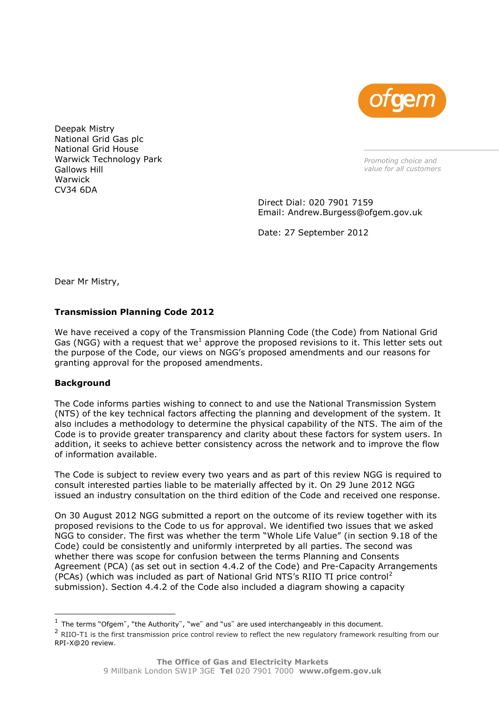

Deepak Mistry National Grid Gas plc National Grid House Warwick Technology Park Gallows Hill Warwick CV34 6DA

*Promoting choice and value for all customers*

Direct Dial: 020 7901 7159 Email: Andrew.Burgess@ofgem.gov.uk

Date: 27 September 2012

Dear Mr Mistry,

# **Transmission Planning Code 2012**

We have received a copy of the Transmission Planning Code (the Code) from National Grid Gas (NGG) with a request that we<sup>1</sup> approve the proposed revisions to it. This letter sets out the purpose of the Code, our views on NGG"s proposed amendments and our reasons for granting approval for the proposed amendments.

# **Background**

ł

The Code informs parties wishing to connect to and use the National Transmission System (NTS) of the key technical factors affecting the planning and development of the system. It also includes a methodology to determine the physical capability of the NTS. The aim of the Code is to provide greater transparency and clarity about these factors for system users. In addition, it seeks to achieve better consistency across the network and to improve the flow of information available.

The Code is subject to review every two years and as part of this review NGG is required to consult interested parties liable to be materially affected by it. On 29 June 2012 NGG issued an industry consultation on the third edition of the Code and received one response.

On 30 August 2012 NGG submitted a report on the outcome of its review together with its proposed revisions to the Code to us for approval. We identified two issues that we asked NGG to consider. The first was whether the term "Whole Life Value" (in section 9.18 of the Code) could be consistently and uniformly interpreted by all parties. The second was whether there was scope for confusion between the terms Planning and Consents Agreement (PCA) (as set out in section 4.4.2 of the Code) and Pre-Capacity Arrangements (PCAs) (which was included as part of National Grid NTS's RIIO TI price control<sup>2</sup> submission). Section 4.4.2 of the Code also included a diagram showing a capacity

 $<sup>1</sup>$  The terms "Ofgem", "the Authority", "we" and "us" are used interchangeably in this document.</sup>

<sup>&</sup>lt;sup>2</sup> RIIO-T1 is the first transmission price control review to reflect the new regulatory framework resulting from our [RPI-X@20 review.](http://www.ofgem.gov.uk/Networks/rpix20/Pages/RPIX20.aspx)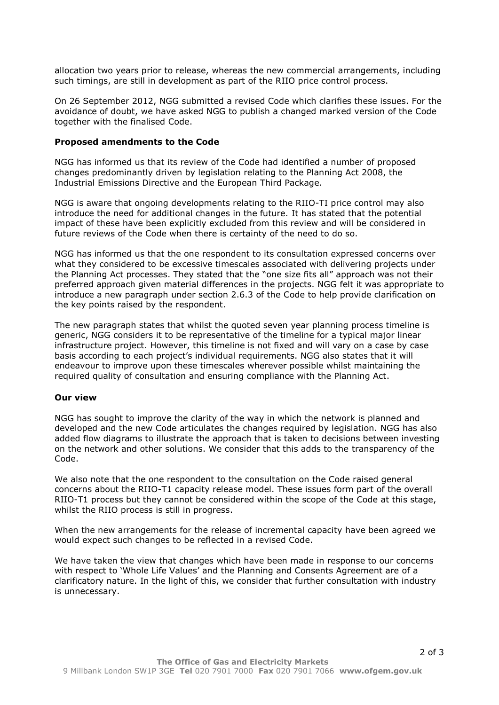allocation two years prior to release, whereas the new commercial arrangements, including such timings, are still in development as part of the RIIO price control process.

On 26 September 2012, NGG submitted a revised Code which clarifies these issues. For the avoidance of doubt, we have asked NGG to publish a changed marked version of the Code together with the finalised Code.

### **Proposed amendments to the Code**

NGG has informed us that its review of the Code had identified a number of proposed changes predominantly driven by legislation relating to the Planning Act 2008, the Industrial Emissions Directive and the European Third Package.

NGG is aware that ongoing developments relating to the RIIO-TI price control may also introduce the need for additional changes in the future. It has stated that the potential impact of these have been explicitly excluded from this review and will be considered in future reviews of the Code when there is certainty of the need to do so.

NGG has informed us that the one respondent to its consultation expressed concerns over what they considered to be excessive timescales associated with delivering projects under the Planning Act processes. They stated that the "one size fits all" approach was not their preferred approach given material differences in the projects. NGG felt it was appropriate to introduce a new paragraph under section 2.6.3 of the Code to help provide clarification on the key points raised by the respondent.

The new paragraph states that whilst the quoted seven year planning process timeline is generic, NGG considers it to be representative of the timeline for a typical major linear infrastructure project. However, this timeline is not fixed and will vary on a case by case basis according to each project's individual requirements. NGG also states that it will endeavour to improve upon these timescales wherever possible whilst maintaining the required quality of consultation and ensuring compliance with the Planning Act.

### **Our view**

NGG has sought to improve the clarity of the way in which the network is planned and developed and the new Code articulates the changes required by legislation. NGG has also added flow diagrams to illustrate the approach that is taken to decisions between investing on the network and other solutions. We consider that this adds to the transparency of the Code.

We also note that the one respondent to the consultation on the Code raised general concerns about the RIIO-T1 capacity release model. These issues form part of the overall RIIO-T1 process but they cannot be considered within the scope of the Code at this stage, whilst the RIIO process is still in progress.

When the new arrangements for the release of incremental capacity have been agreed we would expect such changes to be reflected in a revised Code.

We have taken the view that changes which have been made in response to our concerns with respect to "Whole Life Values" and the Planning and Consents Agreement are of a clarificatory nature. In the light of this, we consider that further consultation with industry is unnecessary.